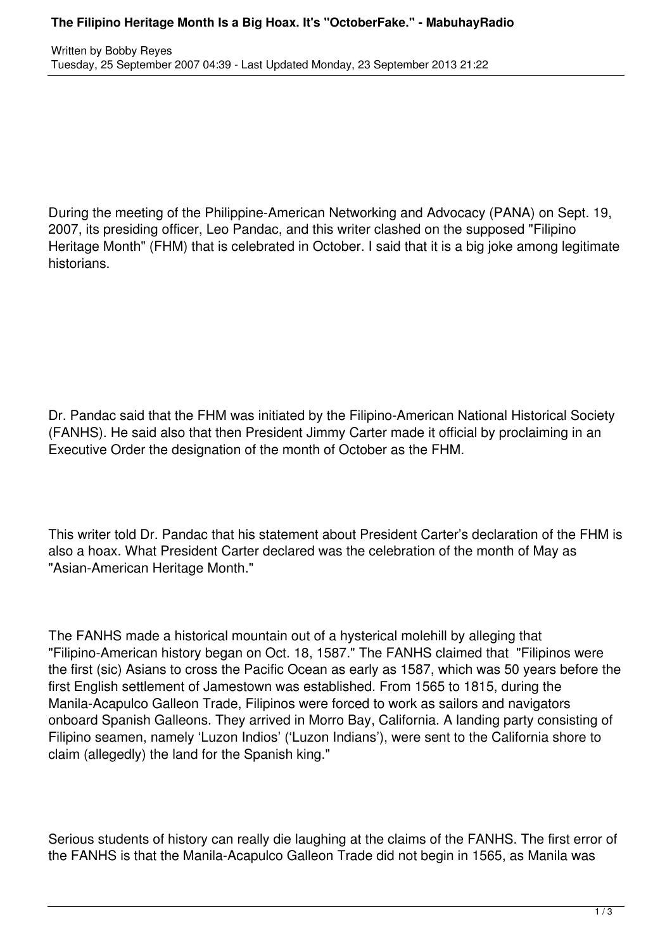## **The Filipino Heritage Month Is a Big Hoax. It's "OctoberFake." - MabuhayRadio**

During the meeting of the Philippine-American Networking and Advocacy (PANA) on Sept. 19, 2007, its presiding officer, Leo Pandac, and this writer clashed on the supposed "Filipino Heritage Month" (FHM) that is celebrated in October. I said that it is a big joke among legitimate historians.

Dr. Pandac said that the FHM was initiated by the Filipino-American National Historical Society (FANHS). He said also that then President Jimmy Carter made it official by proclaiming in an Executive Order the designation of the month of October as the FHM.

This writer told Dr. Pandac that his statement about President Carter's declaration of the FHM is also a hoax. What President Carter declared was the celebration of the month of May as "Asian-American Heritage Month."

The FANHS made a historical mountain out of a hysterical molehill by alleging that "Filipino-American history began on Oct. 18, 1587." The FANHS claimed that "Filipinos were the first (sic) Asians to cross the Pacific Ocean as early as 1587, which was 50 years before the first English settlement of Jamestown was established. From 1565 to 1815, during the Manila-Acapulco Galleon Trade, Filipinos were forced to work as sailors and navigators onboard Spanish Galleons. They arrived in Morro Bay, California. A landing party consisting of Filipino seamen, namely 'Luzon Indios' ('Luzon Indians'), were sent to the California shore to claim (allegedly) the land for the Spanish king."

Serious students of history can really die laughing at the claims of the FANHS. The first error of the FANHS is that the Manila-Acapulco Galleon Trade did not begin in 1565, as Manila was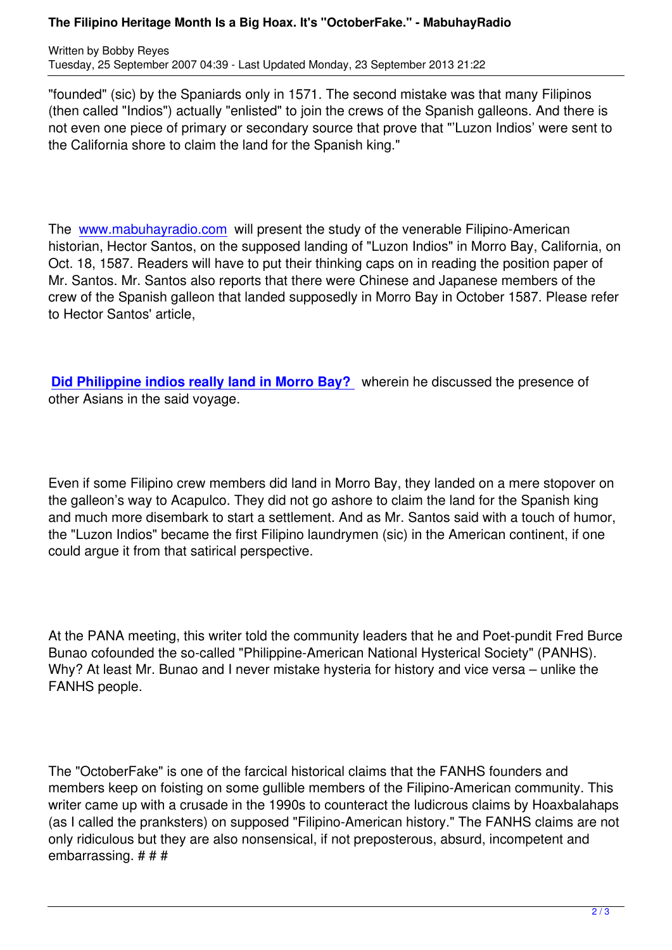"founded" (sic) by the Spaniards only in 1571. The second mistake was that many Filipinos (then called "Indios") actually "enlisted" to join the crews of the Spanish galleons. And there is not even one piece of primary or secondary source that prove that "'Luzon Indios' were sent to the California shore to claim the land for the Spanish king."

The www.mabuhayradio.com will present the study of the venerable Filipino-American historian, Hector Santos, on the supposed landing of "Luzon Indios" in Morro Bay, California, on Oct. 18, 1587. Readers will have to put their thinking caps on in reading the position paper of Mr. [Santos. Mr. Santos also re](http://www.mabuhayradio.com/)ports that there were Chinese and Japanese members of the crew of the Spanish galleon that landed supposedly in Morro Bay in October 1587. Please refer to Hector Santos' article,

**Did Philippine indios really land in Morro Bay?**  wherein he discussed the presence of other Asians in the said voyage.

Even if some Filipino crew members did land in Morro Bay, they landed on a mere stopover on the galleon's way to Acapulco. They did not go ashore to claim the land for the Spanish king and much more disembark to start a settlement. And as Mr. Santos said with a touch of humor, the "Luzon Indios" became the first Filipino laundrymen (sic) in the American continent, if one could argue it from that satirical perspective.

At the PANA meeting, this writer told the community leaders that he and Poet-pundit Fred Burce Bunao cofounded the so-called "Philippine-American National Hysterical Society" (PANHS). Why? At least Mr. Bunao and I never mistake hysteria for history and vice versa – unlike the FANHS people.

The "OctoberFake" is one of the farcical historical claims that the FANHS founders and members keep on foisting on some gullible members of the Filipino-American community. This writer came up with a crusade in the 1990s to counteract the ludicrous claims by Hoaxbalahaps (as I called the pranksters) on supposed "Filipino-American history." The FANHS claims are not only ridiculous but they are also nonsensical, if not preposterous, absurd, incompetent and embarrassing. # # #